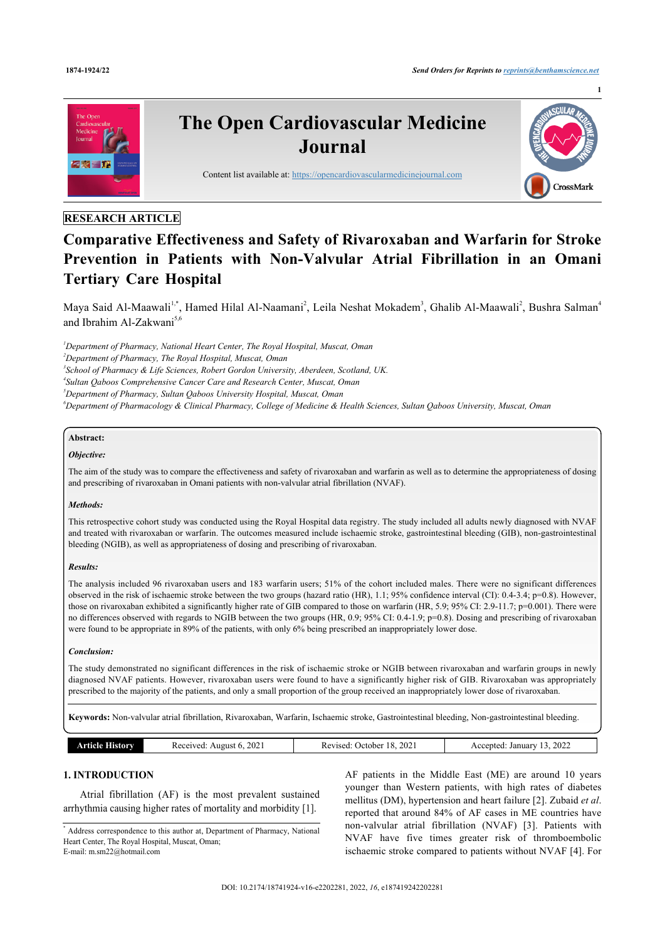

# **RESEARCH ARTICLE**

# **Comparative Effectiveness and Safety of Rivaroxaban and Warfarin for Stroke Prevention in Patients with Non-Valvular Atrial Fibrillation in an Omani Tertiary Care Hospital**

Maya Said Al-Maawali<sup>[1](#page-0-0)[,\\*](#page-0-1)</sup>, Hamed Hilal Al-Naamani<sup>[2](#page-0-2)</sup>, Leila Neshat Mokadem<sup>[3](#page-0-3)</sup>, Ghalib Al-Maawali<sup>2</sup>, Bushra Salman<sup>[4](#page-0-4)</sup> and Ibrahim Al-Zakwani<sup>[5](#page-0-5)[,6](#page-0-6)</sup>

<span id="page-0-0"></span>*<sup>1</sup>Department of Pharmacy, National Heart Center, The Royal Hospital, Muscat, Oman*

<span id="page-0-2"></span>*<sup>2</sup>Department of Pharmacy, The Royal Hospital, Muscat, Oman*

<span id="page-0-3"></span>*3 School of Pharmacy & Life Sciences, Robert Gordon University, Aberdeen, Scotland, UK.*

<span id="page-0-4"></span>*4 Sultan Qaboos Comprehensive Cancer Care and Research Center, Muscat, Oman*

<span id="page-0-5"></span>*<sup>5</sup>Department of Pharmacy, Sultan Qaboos University Hospital, Muscat, Oman*

<span id="page-0-6"></span>*<sup>6</sup>Department of Pharmacology & Clinical Pharmacy, College of Medicine & Health Sciences, Sultan Qaboos University, Muscat, Oman*

# **Abstract:**

#### *Objective:*

The aim of the study was to compare the effectiveness and safety of rivaroxaban and warfarin as well as to determine the appropriateness of dosing and prescribing of rivaroxaban in Omani patients with non-valvular atrial fibrillation (NVAF).

#### *Methods:*

This retrospective cohort study was conducted using the Royal Hospital data registry. The study included all adults newly diagnosed with NVAF and treated with rivaroxaban or warfarin. The outcomes measured include ischaemic stroke, gastrointestinal bleeding (GIB), non-gastrointestinal bleeding (NGIB), as well as appropriateness of dosing and prescribing of rivaroxaban.

#### *Results:*

The analysis included 96 rivaroxaban users and 183 warfarin users; 51% of the cohort included males. There were no significant differences observed in the risk of ischaemic stroke between the two groups (hazard ratio (HR), 1.1; 95% confidence interval (CI): 0.4-3.4; p=0.8). However, those on rivaroxaban exhibited a significantly higher rate of GIB compared to those on warfarin (HR, 5.9; 95% CI: 2.9-11.7; p=0.001). There were no differences observed with regards to NGIB between the two groups (HR, 0.9; 95% CI: 0.4-1.9; p=0.8). Dosing and prescribing of rivaroxaban were found to be appropriate in 89% of the patients, with only 6% being prescribed an inappropriately lower dose.

#### *Conclusion:*

The study demonstrated no significant differences in the risk of ischaemic stroke or NGIB between rivaroxaban and warfarin groups in newly diagnosed NVAF patients. However, rivaroxaban users were found to have a significantly higher risk of GIB. Rivaroxaban was appropriately prescribed to the majority of the patients, and only a small proportion of the group received an inappropriately lower dose of rivaroxaban.

**Keywords:** Non-valvular atrial fibrillation, Rivaroxaban, Warfarin, Ischaemic stroke, Gastrointestinal bleeding, Non-gastrointestinal bleeding.

| 202<br>Received:<br>August 6.<br>History<br>ுமை<br>. | 202.<br>.<br>. Jetober<br>Revised:<br>__ | 2022<br>January<br>scepted.<br>$- - -$<br>__ |
|------------------------------------------------------|------------------------------------------|----------------------------------------------|
|------------------------------------------------------|------------------------------------------|----------------------------------------------|

# **1. INTRODUCTION**

Atrial fibrillation (AF) is the most prevalent sustained arrhythmia causing higher rates of mortality and morbidity [[1](#page-7-0)].

AF patients in the Middle East (ME) are around 10 years younger than Western patients, with high rates of diabetes mellitus (DM), hypertension and heart failure [\[2\]](#page-7-1). Zubaid *et al*. reported that around 84% of AF cases in ME countries have non-valvular atrial fibrillation (NVAF)[[3](#page-7-2)]. Patients with NVAF have five times greater risk of thromboembolic ischaemic stroke compared to patients without NVAF [\[4](#page-7-3)]. For

<span id="page-0-1"></span><sup>\*</sup> Address correspondence to this author at, Department of Pharmacy, National Heart Center, The Royal Hospital, Muscat, Oman; E-mail: [m.sm22@hotmail.com](mailto:m.sm22@hotmail.com)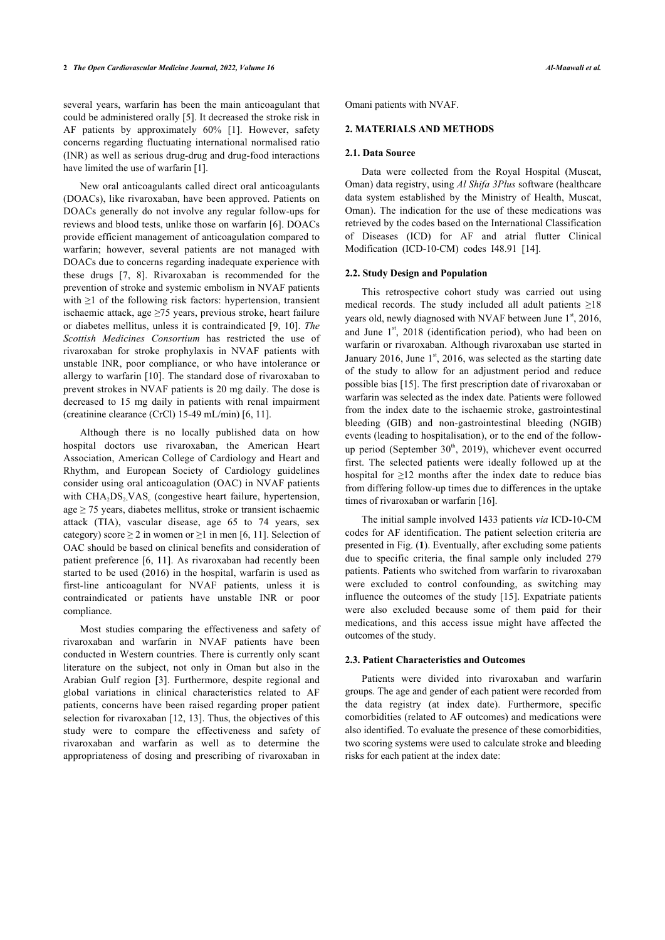several years, warfarin has been the main anticoagulant that could be administered orally [\[5\]](#page-7-4). It decreased the stroke risk in AF patients by approximately 60% [\[1\]](#page-7-0). However, safety concerns regarding fluctuating international normalised ratio (INR) as well as serious drug-drug and drug-food interactions have limited the use of warfarin [[1](#page-7-0)].

New oral anticoagulants called direct oral anticoagulants (DOACs), like rivaroxaban, have been approved. Patients on DOACs generally do not involve any regular follow-ups for reviews and blood tests, unlike those on warfarin [\[6](#page-7-5)]. DOACs provide efficient management of anticoagulation compared to warfarin; however, several patients are not managed with DOACs due to concerns regarding inadequate experience with these drugs[[7,](#page-7-6) [8\]](#page-7-7). Rivaroxaban is recommended for the prevention of stroke and systemic embolism in NVAF patients with ≥1 of the following risk factors: hypertension, transient ischaemic attack, age  $\geq$ 75 years, previous stroke, heart failure or diabetes mellitus, unless it is contraindicated [\[9](#page-7-8), [10\]](#page-7-9). *The Scottish Medicines Consortium* has restricted the use of rivaroxaban for stroke prophylaxis in NVAF patients with unstable INR, poor compliance, or who have intolerance or allergy to warfarin [[10\]](#page-7-9). The standard dose of rivaroxaban to prevent strokes in NVAF patients is 20 mg daily. The dose is decreased to 15 mg daily in patients with renal impairment (creatinine clearance (CrCl) 15-49 mL/min) [[6](#page-7-5), [11\]](#page-7-10).

Although there is no locally published data on how hospital doctors use rivaroxaban, the American Heart Association, American College of Cardiology and Heart and Rhythm, and European Society of Cardiology guidelines consider using oral anticoagulation (OAC) in NVAF patients with  $\text{CHA}_{2}\text{DS}_{2}\text{VAS}_{c}$  (congestive heart failure, hypertension,  $age \ge 75$  years, diabetes mellitus, stroke or transient ischaemic attack (TIA), vascular disease, age 65 to 74 years, sex category) score  $\geq 2$  in women or  $\geq 1$  in men [[6](#page-7-5), [11\]](#page-7-10). Selection of OAC should be based on clinical benefits and consideration of patient preference [\[6](#page-7-5), [11\]](#page-7-10). As rivaroxaban had recently been started to be used (2016) in the hospital, warfarin is used as first-line anticoagulant for NVAF patients, unless it is contraindicated or patients have unstable INR or poor compliance.

<span id="page-1-0"></span>Most studies comparing the effectiveness and safety of rivaroxaban and warfarin in NVAF patients have been conducted in Western countries. There is currently only scant literature on the subject, not only in Oman but also in the Arabian Gulf region[[3\]](#page-7-2). Furthermore, despite regional and global variations in clinical characteristics related to AF patients, concerns have been raised regarding proper patient selection for rivaroxaban [[12,](#page-7-11) [13\]](#page-7-12). Thus, the objectives of this study were to compare the effectiveness and safety of rivaroxaban and warfarin as well as to determine the appropriateness of dosing and prescribing of rivaroxaban in

Omani patients with NVAF.

### **2. MATERIALS AND METHODS**

#### **2.1. Data Source**

Data were collected from the Royal Hospital (Muscat, Oman) data registry, using *Al Shifa 3Plus* software (healthcare data system established by the Ministry of Health, Muscat, Oman). The indication for the use of these medications was retrieved by the codes based on the International Classification of Diseases (ICD) for AF and atrial flutter Clinical Modification (ICD-10-CM) codes I48.91 [\[14](#page-7-13)].

# **2.2. Study Design and Population**

This retrospective cohort study was carried out using medical records. The study included all adult patients  $\geq$ 18 years old, newly diagnosed with NVAF between June  $1<sup>st</sup>$ , 2016, and June  $1<sup>st</sup>$ , 2018 (identification period), who had been on warfarin or rivaroxaban. Although rivaroxaban use started in January 2016, June  $1<sup>st</sup>$ , 2016, was selected as the starting date of the study to allow for an adjustment period and reduce possible bias [\[15](#page-7-14)]. The first prescription date of rivaroxaban or warfarin was selected as the index date. Patients were followed from the index date to the ischaemic stroke, gastrointestinal bleeding (GIB) and non-gastrointestinal bleeding (NGIB) events (leading to hospitalisation), or to the end of the followup period (September  $30<sup>th</sup>$ , 2019), whichever event occurred first. The selected patients were ideally followed up at the hospital for  $\geq$ 12 months after the index date to reduce bias from differing follow-up times d[ue t](#page-7-15)o differences in the uptake times of rivaroxaban or warfarin [16].

The initial sample involved 1433 patients *via* ICD-10-CM codes for AF ide[nt](#page-1-0)ification. The patient selection criteria are presented in Fig. (**1**). Eventually, after excluding some patients due to specific criteria, the final sample only included 279 patients. Patients who switched from warfarin to rivaroxaban were excluded to control confound[ing](#page-7-14), as switching may influence the outcomes of the study [15]. Expatriate patients were also excluded because some of them paid for their medications, and this access issue might have affected the outcomes of the study.

#### **2.3. Patient Characteristics and Outcomes**

Patients were divided into rivaroxaban and warfarin groups. The age and gender of each patient were recorded from the data registry (at index date). Furthermore, specific comorbidities (related to AF outcomes) and medications were also identified. To evaluate the presence of these comorbidities, two scoring systems were used to calculate stroke and bleeding risks for each patient at the index date: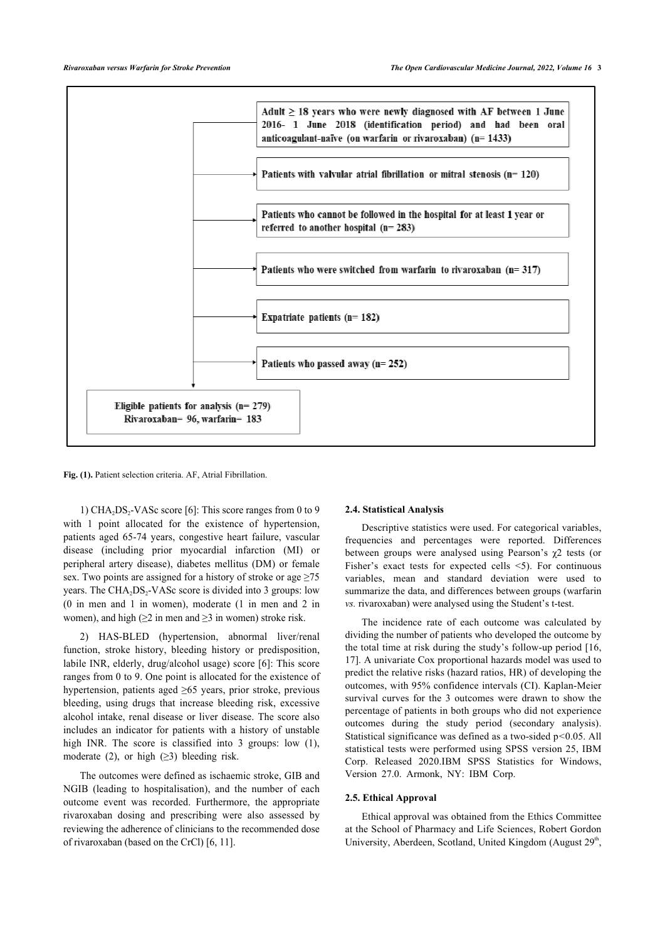

**Fig. (1).** Patient selection criteria. AF, Atrial Fibrillation.

1)  $CHA<sub>2</sub>DS<sub>2</sub>-VASc score [6]$  $CHA<sub>2</sub>DS<sub>2</sub>-VASc score [6]$ : This score ranges from 0 to 9 with 1 point allocated for the existence of hypertension, patients aged 65-74 years, congestive heart failure, vascular disease (including prior myocardial infarction (MI) or peripheral artery disease), diabetes mellitus (DM) or female sex. Two points are assigned for a history of stroke or age  $\geq 75$ years. The CHA<sub>2</sub>DS<sub>2</sub>-VASc score is divided into 3 groups: low (0 in men and 1 in women), moderate (1 in men and 2 in women), and high ( $\geq 2$  in men and  $\geq 3$  in women) stroke risk.

2) HAS-BLED (hypertension, abnormal liver/renal function, stroke history, bleeding history or predisposition, labile INR, elderly, drug/alcohol usage) score [\[6\]](#page-7-5): This score ranges from 0 to 9. One point is allocated for the existence of hypertension, patients aged ≥65 years, prior stroke, previous bleeding, using drugs that increase bleeding risk, excessive alcohol intake, renal disease or liver disease. The score also includes an indicator for patients with a history of unstable high INR. The score is classified into 3 groups: low (1), moderate (2), or high  $(\geq 3)$  bleeding risk.

The outcomes were defined as ischaemic stroke, GIB and NGIB (leading to hospitalisation), and the number of each outcome event was recorded. Furthermore, the appropriate rivaroxaban dosing and prescribing were also assessed by reviewing the adherence of clinicians to the recommended dose of rivaroxaban (based on the CrCl) [[6](#page-7-5), [11\]](#page-7-10).

#### **2.4. Statistical Analysis**

Descriptive statistics were used. For categorical variables, frequencies and percentages were reported. Differences between groups were analysed using Pearson's  $\chi$ 2 tests (or Fisher's exact tests for expected cells <5). For continuous variables, mean and standard deviation were used to summarize the data, and differences between groups (warfarin *vs.* rivaroxaban) were analysed using the Student's t-test.

The incidence rate of each outcome was calculated by dividing the number of patients who developed the outcome by the total time at risk during the study's follow-up period [[16](#page-7-15), [17](#page-7-16)]. A univariate Cox proportional hazards model was used to predict the relative risks (hazard ratios, HR) of developing the outcomes, with 95% confidence intervals (CI). Kaplan-Meier survival curves for the 3 outcomes were drawn to show the percentage of patients in both groups who did not experience outcomes during the study period (secondary analysis). Statistical significance was defined as a two-sided p*<*0.05. All statistical tests were performed using SPSS version 25, IBM Corp. Released 2020.IBM SPSS Statistics for Windows, Version 27.0. Armonk, NY: IBM Corp.

### **2.5. Ethical Approval**

Ethical approval was obtained from the Ethics Committee at the School of Pharmacy and Life Sciences, Robert Gordon University, Aberdeen, Scotland, United Kingdom (August 29<sup>th</sup>,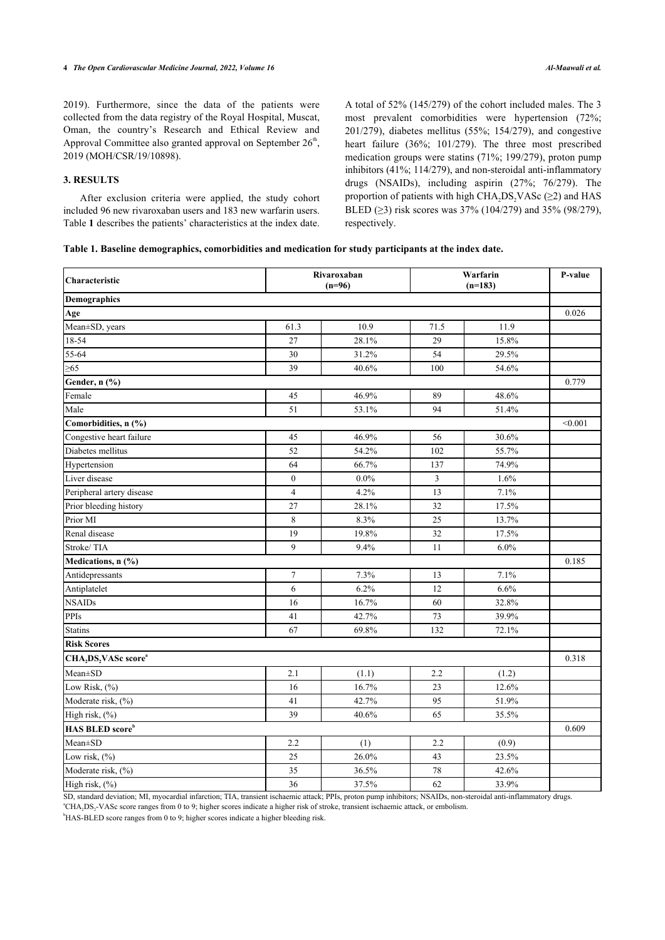2019). Furthermore, since the data of the patients were collected from the data registry of the Royal Hospital, Muscat, Oman, the country's Research and Ethical Review and Approval Committee also granted approval on September  $26<sup>th</sup>$ , 2019 (MOH/CSR/19/10898).

# **3. RESULTS**

After exclusion criteria were applied, the study cohort included 96 new rivaroxaban users and 183 new warfarin users. Table **[1](#page-3-0)** describes the patients' characteristics at the index date. A total of 52% (145/279) of the cohort included males. The 3 most prevalent comorbidities were hypertension (72%; 201/279), diabetes mellitus (55%; 154/279), and congestive heart failure (36%; 101/279). The three most prescribed medication groups were statins (71%; 199/279), proton pump inhibitors (41%; 114/279), and non-steroidal anti-inflammatory drugs (NSAIDs), including aspirin (27%; 76/279). The proportion of patients with high CHA<sub>2</sub>DS<sub>2</sub>VASc ( $\geq$ 2) and HAS BLED ( $\geq$ 3) risk scores was 37% (104/279) and 35% (98/279), respectively.

### <span id="page-3-0"></span>**Table 1. Baseline demographics, comorbidities and medication for study participants at the index date.**

| Characteristic                                           |                  | Rivaroxaban<br>$(n=96)$ |      | Warfarin<br>$(n=183)$ |       |  |  |
|----------------------------------------------------------|------------------|-------------------------|------|-----------------------|-------|--|--|
| Demographics                                             |                  |                         |      |                       |       |  |  |
| Age                                                      |                  |                         |      |                       | 0.026 |  |  |
| Mean±SD, years                                           | 61.3             | 10.9                    | 71.5 | 11.9                  |       |  |  |
| 18-54                                                    | 27               | 28.1%                   | 29   | 15.8%                 |       |  |  |
| 55-64                                                    | 30               | 31.2%                   | 54   | 29.5%                 |       |  |  |
| $\geq 65$                                                | 39               | 40.6%                   | 100  | 54.6%                 |       |  |  |
| Gender, n (%)                                            |                  |                         |      |                       | 0.779 |  |  |
| Female                                                   | 45               | 46.9%                   | 89   | 48.6%                 |       |  |  |
| Male                                                     | 51               | 53.1%                   | 94   | 51.4%                 |       |  |  |
| Comorbidities, n (%)                                     |                  |                         |      |                       |       |  |  |
| Congestive heart failure                                 | 45               | 46.9%                   | 56   | 30.6%                 |       |  |  |
| Diabetes mellitus                                        | 52               | 54.2%                   | 102  | 55.7%                 |       |  |  |
| Hypertension                                             | 64               | 66.7%                   | 137  | 74.9%                 |       |  |  |
| Liver disease                                            | $\boldsymbol{0}$ | $0.0\%$                 | 3    | 1.6%                  |       |  |  |
| Peripheral artery disease                                | $\overline{4}$   | 4.2%                    | 13   | 7.1%                  |       |  |  |
| Prior bleeding history                                   | 27               | 28.1%                   | 32   | 17.5%                 |       |  |  |
| Prior MI                                                 | 8                | 8.3%                    | 25   | 13.7%                 |       |  |  |
| Renal disease                                            | 19               | 19.8%                   | 32   | 17.5%                 |       |  |  |
| Stroke/TIA                                               | $\overline{9}$   | 9.4%                    | 11   | 6.0%                  |       |  |  |
| Medications, n (%)                                       |                  |                         |      |                       | 0.185 |  |  |
| Antidepressants                                          | $\tau$           | 7.3%                    | 13   | 7.1%                  |       |  |  |
| Antiplatelet                                             | 6                | 6.2%                    | 12   | 6.6%                  |       |  |  |
| <b>NSAIDs</b>                                            | 16               | 16.7%                   | 60   | 32.8%                 |       |  |  |
| PPIs                                                     | 41               | 42.7%                   | 73   | 39.9%                 |       |  |  |
| <b>Statins</b>                                           | 67               | 69.8%                   | 132  | 72.1%                 |       |  |  |
| <b>Risk Scores</b>                                       |                  |                         |      |                       |       |  |  |
| CHA <sub>2</sub> DS <sub>2</sub> VASc score <sup>a</sup> |                  |                         |      |                       | 0.318 |  |  |
| Mean±SD                                                  | 2.1              | (1.1)                   | 2.2  | (1.2)                 |       |  |  |
| Low Risk, (%)                                            | 16               | 16.7%                   | 23   | 12.6%                 |       |  |  |
| Moderate risk, (%)                                       | 41               | 42.7%                   | 95   | 51.9%                 |       |  |  |
| High risk, (%)                                           | 39               | 40.6%                   | 65   | 35.5%                 |       |  |  |
| <b>HAS BLED score</b> b                                  |                  |                         |      |                       | 0.609 |  |  |
| Mean±SD                                                  | 2.2              | (1)                     | 2.2  | (0.9)                 |       |  |  |
| Low risk, $(\%)$                                         | 25               | 26.0%                   | 43   | 23.5%                 |       |  |  |
| Moderate risk, (%)                                       | 35               | 36.5%                   | 78   | 42.6%                 |       |  |  |
| High risk, (%)                                           | 36               | 37.5%                   | 62   | 33.9%                 |       |  |  |

SD, standard deviation; MI, myocardial infarction; TIA, transient ischaemic attack; PPIs, proton pump inhibitors; NSAIDs, non-steroidal anti-inflammatory drugs.

<sup>a</sup>CHA2DS<sup>2</sup> -VASc score ranges from 0 to 9; higher scores indicate a higher risk of stroke, transient ischaemic attack, or embolism.

<sup>b</sup>HAS-BLED score ranges from 0 to 9; higher scores indicate a higher bleeding risk.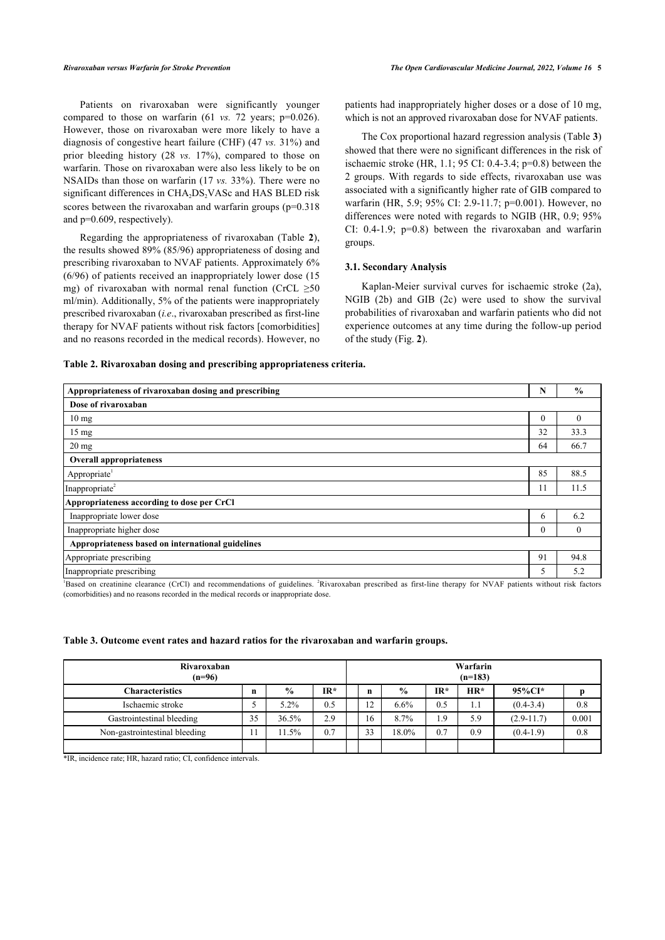Patients on rivaroxaban were significantly younger compared to those on warfarin (61 *vs.* 72 years; p=0.026). However, those on rivaroxaban were more likely to have a diagnosis of congestive heart failure (CHF) (47 *vs.* 31%) and prior bleeding history (28 *vs.* 17%), compared to those on warfarin. Those on rivaroxaban were also less likely to be on NSAIDs than those on warfarin (17 *vs.* 33%). There were no significant differences in CHA<sub>2</sub>DS<sub>2</sub>VASc and HAS BLED risk scores between the rivaroxaban and warfarin groups (p=0.318) and p=0.609, respectively).

Regarding the appropriateness of rivaroxaban (Table**2**), the results showed 89% (85/96) appropriateness of dosing and prescribing rivaroxaban to NVAF patients. Approximately 6% (6/96) of patients received an inappropriately lower dose (15 mg) of rivaroxaban with normal renal function (CrCL  $\geq 50$ ml/min). Additionally, 5% of the patients were inappropriately prescribed rivaroxaban (*i.e*., rivaroxaban prescribed as first-line therapy for NVAF patients without risk factors [comorbidities] and no reasons recorded in the medical records). However, no

patients had inappropriately higher doses or a dose of 10 mg, which is not an approved rivaroxaban dose for NVAF patients.

The Cox proportional hazard regression analysis (Table **[3](#page-4-1)**) showed that there were no significant differences in the risk of ischaemic stroke (HR, 1.1; 95 CI: 0.4-3.4; p=0.8) between the 2 groups. With regards to side effects, rivaroxaban use was associated with a significantly higher rate of GIB compared to warfarin (HR, 5.9; 95% CI: 2.9-11.7; p=0.001). However, no differences were noted with regards to NGIB (HR, 0.9; 95% CI: 0.4-1.9; p=0.8) between the rivaroxaban and warfarin groups.

#### **3.1. Secondary Analysis**

Kaplan-Meier survival curves for ischaemic stroke (2a), NGIB (2b) and GIB (2c) were used to show the survival probabilities of rivaroxaban and warfarin patients who did not experience outco[m](#page-4-2)es at any time during the follow-up period of the study (Fig. **2**).

#### <span id="page-4-0"></span>**Table 2. Rivaroxaban dosing and prescribing appropriateness criteria.**

| Appropriateness of rivaroxaban dosing and prescribing                                                                                                                                                                                                                                                                                                                                                                                                                                                                                                                                   | N           | $\frac{6}{6}$                 |  |  |  |  |
|-----------------------------------------------------------------------------------------------------------------------------------------------------------------------------------------------------------------------------------------------------------------------------------------------------------------------------------------------------------------------------------------------------------------------------------------------------------------------------------------------------------------------------------------------------------------------------------------|-------------|-------------------------------|--|--|--|--|
| Dose of rivaroxaban                                                                                                                                                                                                                                                                                                                                                                                                                                                                                                                                                                     |             |                               |  |  |  |  |
| 10 <sub>mg</sub>                                                                                                                                                                                                                                                                                                                                                                                                                                                                                                                                                                        | $\theta$    | $\theta$                      |  |  |  |  |
| $15 \text{ mg}$                                                                                                                                                                                                                                                                                                                                                                                                                                                                                                                                                                         | 32          | 33.3                          |  |  |  |  |
| $20 \text{ mg}$                                                                                                                                                                                                                                                                                                                                                                                                                                                                                                                                                                         | 64          | 66.7                          |  |  |  |  |
| <b>Overall appropriateness</b>                                                                                                                                                                                                                                                                                                                                                                                                                                                                                                                                                          |             |                               |  |  |  |  |
| Appropriate <sup>1</sup>                                                                                                                                                                                                                                                                                                                                                                                                                                                                                                                                                                | 85          | 88.5                          |  |  |  |  |
| Inappropriate <sup>2</sup>                                                                                                                                                                                                                                                                                                                                                                                                                                                                                                                                                              | 11          | 11.5                          |  |  |  |  |
| Appropriateness according to dose per CrCl                                                                                                                                                                                                                                                                                                                                                                                                                                                                                                                                              |             |                               |  |  |  |  |
| Inappropriate lower dose                                                                                                                                                                                                                                                                                                                                                                                                                                                                                                                                                                | 6           | 6.2                           |  |  |  |  |
| Inappropriate higher dose                                                                                                                                                                                                                                                                                                                                                                                                                                                                                                                                                               | $\theta$    | $\mathbf{0}$                  |  |  |  |  |
| Appropriateness based on international guidelines                                                                                                                                                                                                                                                                                                                                                                                                                                                                                                                                       |             |                               |  |  |  |  |
| Appropriate prescribing                                                                                                                                                                                                                                                                                                                                                                                                                                                                                                                                                                 | 91          | 94.8                          |  |  |  |  |
| Inappropriate prescribing<br>$2 - 1$<br>$\frac{1}{2}$ , $\frac{1}{2}$ , $\frac{1}{2}$ , $\frac{1}{2}$ , $\frac{1}{2}$ , $\frac{1}{2}$ , $\frac{1}{2}$ , $\frac{1}{2}$ , $\frac{1}{2}$ , $\frac{1}{2}$<br>$\mathbf{a}$ and $\mathbf{a}$ and $\mathbf{a}$ and $\mathbf{a}$<br>the company of the state of the company of the state of the state of the state of the state of the state of the<br><b>Contract Contract Contract</b><br>$\mathbf{r}$ , $\mathbf{r}$ , $\mathbf{r}$ , $\mathbf{r}$ , $\mathbf{r}$ , $\mathbf{r}$ , $\mathbf{r}$ , $\mathbf{r}$ , $\mathbf{r}$<br>$A = 2.777$ | 5<br>$\sim$ | 5.2<br>$\cdot$ $\cdot$ $\sim$ |  |  |  |  |

<sup>1</sup>Based on creatinine clearance (CrCl) and recommendations of guidelines. <sup>2</sup>Rivaroxaban prescribed as first-line therapy for NVAF patients without risk factors (comorbidities) and no reasons recorded in the medical records or inappropriate dose.

<span id="page-4-1"></span>**Table 3. Outcome event rates and hazard ratios for the rivaroxaban and warfarin groups.**

| Rivaroxaban<br>$(n=96)$       |             |                | Warfarin<br>$(n=183)$ |    |               |        |       |                |       |
|-------------------------------|-------------|----------------|-----------------------|----|---------------|--------|-------|----------------|-------|
| <b>Characteristics</b>        | $\mathbf n$ | $\frac{6}{10}$ | IR*                   | n  | $\frac{6}{9}$ | $IR^*$ | $HR*$ | 95%CI*         |       |
| Ischaemic stroke              |             | 5.2%           | 0.5                   |    | 6.6%          | 0.5    | 1.1   | $(0.4 - 3.4)$  | 0.8   |
| Gastrointestinal bleeding     | 35          | 36.5%          | 2.9                   | 16 | 8.7%          | 1.9    | 5.9   | $(2.9 - 11.7)$ | 0.001 |
| Non-gastrointestinal bleeding |             | 11.5%          | 0.7                   | 33 | 18.0%         | 0.7    | 0.9   | $(0.4-1.9)$    | 0.8   |
|                               |             |                |                       |    |               |        |       |                |       |

<span id="page-4-2"></span>\*IR, incidence rate; HR, hazard ratio; CI, confidence intervals.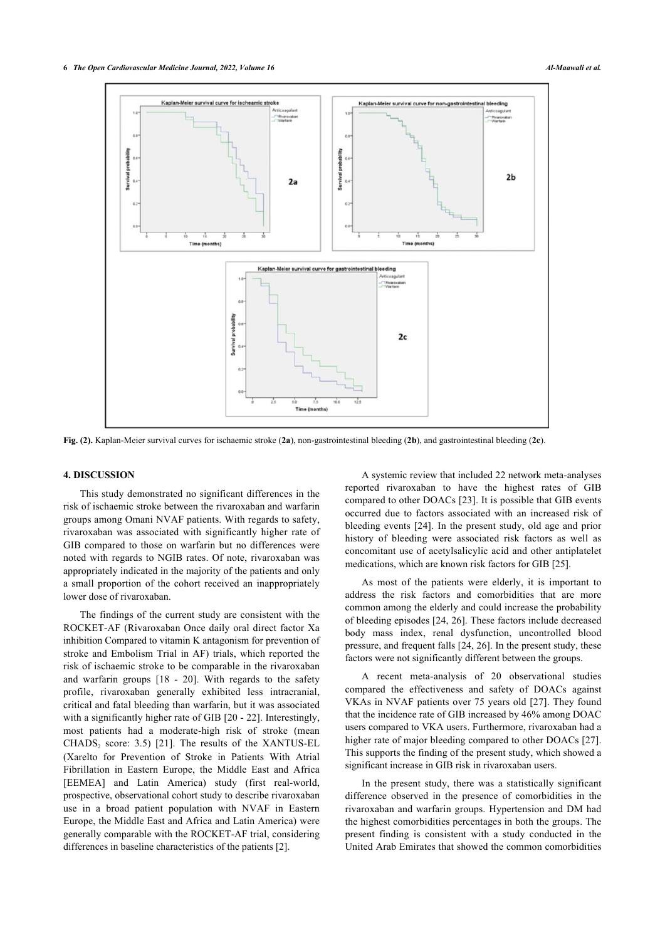

**Fig. (2).** Kaplan-Meier survival curves for ischaemic stroke (**2a**), non-gastrointestinal bleeding (**2b**), and gastrointestinal bleeding (**2c**).

#### **4. DISCUSSION**

This study demonstrated no significant differences in the risk of ischaemic stroke between the rivaroxaban and warfarin groups among Omani NVAF patients. With regards to safety, rivaroxaban was associated with significantly higher rate of GIB compared to those on warfarin but no differences were noted with regards to NGIB rates. Of note, rivaroxaban was appropriately indicated in the majority of the patients and only a small proportion of the cohort received an inappropriately lower dose of rivaroxaban.

The findings of the current study are consistent with the ROCKET-AF (Rivaroxaban Once daily oral direct factor Xa inhibition Compared to vitamin K antagonism for prevention of stroke and Embolism Trial in AF) trials, which reported the risk of ischaemic stroke to be comparable in the rivaroxaban and warfarin groups[[18](#page-7-17) - [20\]](#page-7-18). With regards to the safety profile, rivaroxaban generally exhibited less intracranial, critical and fatal bleeding than warfarin, but it was associated with a significantly higher rate of GIB [[20](#page-7-18) - [22\]](#page-7-19). Interestingly, most patients had a moderate-high risk of stroke (mean  $CHADS<sub>2</sub> score: 3.5)$  [\[21\]](#page-7-20). The results of the XANTUS-EL (Xarelto for Prevention of Stroke in Patients With Atrial Fibrillation in Eastern Europe, the Middle East and Africa [EEMEA] and Latin America) study (first real-world, prospective, observational cohort study to describe rivaroxaban use in a broad patient population with NVAF in Eastern Europe, the Middle East and Africa and Latin America) were generally comparable with the ROCKET-AF trial, considering differences in baseline characteristics of the patients [[2](#page-7-1)].

A systemic review that included 22 network meta-analyses reported rivaroxaban to have the highest rates of GIB compared to other DOACs [[23\]](#page-7-21). It is possible that GIB events occurred due to factors associated with an increased risk of bleeding events [[24](#page-7-22)]. In the present study, old age and prior history of bleeding were associated risk factors as well as concomitant use of acetylsalicylic acid and other antiplatelet medications, which are known risk factors for GIB [\[25](#page-7-23)].

As most of the patients were elderly, it is important to address the risk factors and comorbidities that are more common among the elderly and could increase the probability of bleeding episodes [\[24](#page-7-22), [26](#page-7-24)]. These factors include decreased body mass index, renal dysfunction, uncontrolled blood pressure, and frequent falls [\[24](#page-7-22), [26\]](#page-7-24). In the present study, these factors were not significantly different between the groups.

A recent meta-analysis of 20 observational studies compared the effectiveness and safety of DOACs against VKAs in NVAF patients over 75 years old [[27\]](#page-7-25). They found that the incidence rate of GIB increased by 46% among DOAC users compared to VKA users. Furthermore, rivaroxaban had a higher rate of major bleeding compared to other DOACs [\[27](#page-7-25)]. This supports the finding of the present study, which showed a significant increase in GIB risk in rivaroxaban users.

In the present study, there was a statistically significant difference observed in the presence of comorbidities in the rivaroxaban and warfarin groups. Hypertension and DM had the highest comorbidities percentages in both the groups. The present finding is consistent with a study conducted in the United Arab Emirates that showed the common comorbidities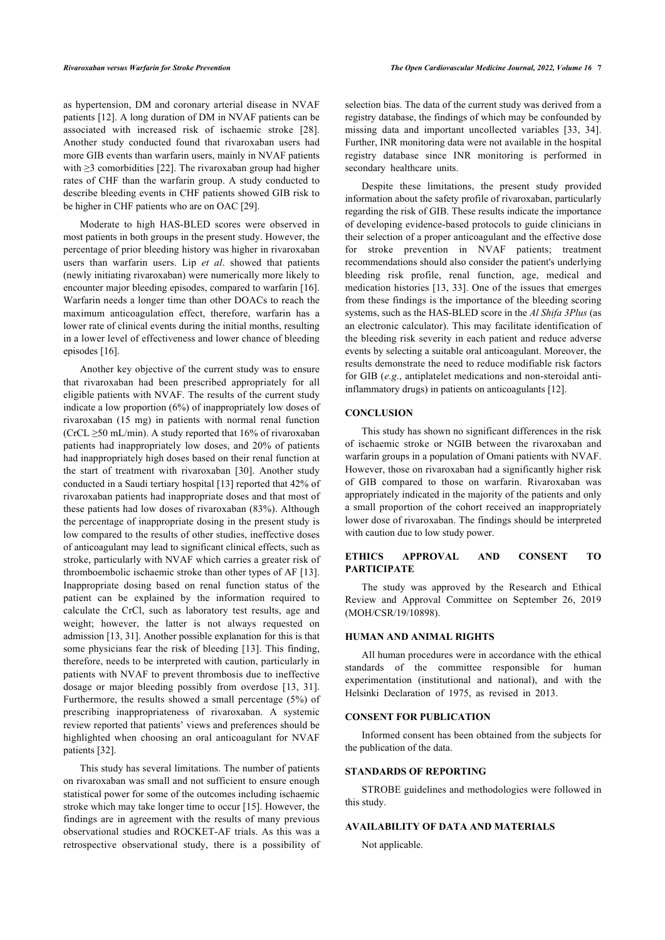as hypertension, DM and coronary arterial disease in NVAF patients [[12\]](#page-7-11). A long duration of DM in NVAF patients can be associated with increased risk of ischaemic stroke[[28\]](#page-7-26). Another study conducted found that rivaroxaban users had more GIB events than warfarin users, mainly in NVAF patients with  $\geq$ 3 comorbidities [\[22\]](#page-7-19). The rivaroxaban group had higher rates of CHF than the warfarin group. A study conducted to describe bleeding events in CHF patients showed GIB risk to be higher in CHF patients who are on OAC [\[29](#page-8-0)].

Moderate to high HAS-BLED scores were observed in most patients in both groups in the present study. However, the percentage of prior bleeding history was higher in rivaroxaban users than warfarin users. Lip *et al*. showed that patients (newly initiating rivaroxaban) were numerically more likely to encounter major bleeding episodes, compared to warfarin [[16](#page-7-15)]. Warfarin needs a longer time than other DOACs to reach the maximum anticoagulation effect, therefore, warfarin has a lower rate of clinical events during the initial months, resulting in a lower level of effectiveness and lower chance of bleeding episodes [[16\]](#page-7-15).

Another key objective of the current study was to ensure that rivaroxaban had been prescribed appropriately for all eligible patients with NVAF. The results of the current study indicate a low proportion (6%) of inappropriately low doses of rivaroxaban (15 mg) in patients with normal renal function (CrCL  $\geq$ 50 mL/min). A study reported that 16% of rivaroxaban patients had inappropriately low doses, and 20% of patients had inappropriately high doses based on their renal function at the start of treatment with rivaroxaban[[30\]](#page-8-1). Another study conducted in a Saudi tertiary hospital [\[13](#page-7-12)] reported that 42% of rivaroxaban patients had inappropriate doses and that most of these patients had low doses of rivaroxaban (83%). Although the percentage of inappropriate dosing in the present study is low compared to the results of other studies, ineffective doses of anticoagulant may lead to significant clinical effects, such as stroke, particularly with NVAF which carries a greater risk of thromboembolic ischaemic stroke than other types of AF [[13\]](#page-7-12). Inappropriate dosing based on renal function status of the patient can be explained by the information required to calculate the CrCl, such as laboratory test results, age and weight; however, the latter is not always requested on admission [[13,](#page-7-12) [31](#page-8-2)]. Another possible explanation for this is that some physicians fear the risk of bleeding [[13](#page-7-12)]. This finding, therefore, needs to be interpreted with caution, particularly in patients with NVAF to prevent thrombosis due to ineffective dosage or major bleeding possibly from overdose [\[13](#page-7-12), [31\]](#page-8-2). Furthermore, the results showed a small percentage (5%) of prescribing inappropriateness of rivaroxaban. A systemic review reported that patients' views and preferences should be highlighted when choosing an oral anticoagulant for NVAF patients [[32\]](#page-8-3).

This study has several limitations. The number of patients on rivaroxaban was small and not sufficient to ensure enough statistical power for some of the outcomes including ischaemic stroke which may take longer time to occur [[15\]](#page-7-14). However, the findings are in agreement with the results of many previous observational studies and ROCKET-AF trials. As this was a retrospective observational study, there is a possibility of selection bias. The data of the current study was derived from a registry database, the findings of which may be confounded by missing data and important uncollected variables[[33](#page-8-4), [34](#page-8-5)]. Further, INR monitoring data were not available in the hospital registry database since INR monitoring is performed in secondary healthcare units.

Despite these limitations, the present study provided information about the safety profile of rivaroxaban, particularly regarding the risk of GIB. These results indicate the importance of developing evidence-based protocols to guide clinicians in their selection of a proper anticoagulant and the effective dose for stroke prevention in NVAF patients; treatment recommendations should also consider the patient's underlying bleeding risk profile, renal function, age, medical and medication histories [\[13,](#page-7-12) [33](#page-8-4)]. One of the issues that emerges from these findings is the importance of the bleeding scoring systems, such as the HAS-BLED score in the *Al Shifa 3Plus* (as an electronic calculator). This may facilitate identification of the bleeding risk severity in each patient and reduce adverse events by selecting a suitable oral anticoagulant. Moreover, the results demonstrate the need to reduce modifiable risk factors for GIB (*e.g*., antiplatelet medications and non-steroidal antiinflammatory drugs) in patients on anticoagulants [\[12](#page-7-11)].

#### **CONCLUSION**

This study has shown no significant differences in the risk of ischaemic stroke or NGIB between the rivaroxaban and warfarin groups in a population of Omani patients with NVAF. However, those on rivaroxaban had a significantly higher risk of GIB compared to those on warfarin. Rivaroxaban was appropriately indicated in the majority of the patients and only a small proportion of the cohort received an inappropriately lower dose of rivaroxaban. The findings should be interpreted with caution due to low study power.

#### **ETHICS APPROVAL AND CONSENT TO PARTICIPATE**

The study was approved by the Research and Ethical Review and Approval Committee on September 26, 2019 (MOH/CSR/19/10898).

#### **HUMAN AND ANIMAL RIGHTS**

All human procedures were in accordance with the ethical standards of the committee responsible for human experimentation (institutional and national), and with the Helsinki Declaration of 1975, as revised in 2013.

#### **CONSENT FOR PUBLICATION**

Informed consent has been obtained from the subjects for the publication of the data.

#### **STANDARDS OF REPORTING**

STROBE guidelines and methodologies were followed in this study.

### **AVAILABILITY OF DATA AND MATERIALS**

Not applicable.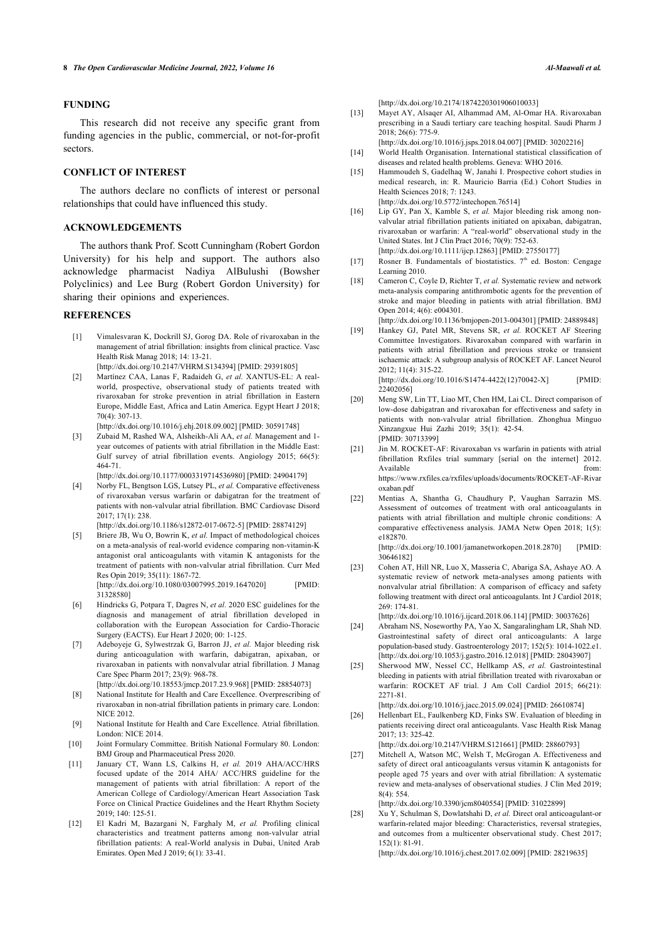#### <span id="page-7-12"></span>**FUNDING**

This research did not receive any specific grant from funding agencies in the public, commercial, or not-for-profit sectors.

#### <span id="page-7-14"></span><span id="page-7-13"></span>**CONFLICT OF INTEREST**

The authors declare no conflicts of interest or personal relationships that could have influenced this study.

#### <span id="page-7-15"></span>**ACKNOWLEDGEMENTS**

<span id="page-7-17"></span><span id="page-7-16"></span>The authors thank Prof. Scott Cunningham (Robert Gordon University) for his help and support. The authors also acknowledge pharmacist Nadiya AlBulushi (Bowsher Polyclinics) and Lee Burg (Robert Gordon University) for sharing their opinions and experiences.

### <span id="page-7-0"></span>**REFERENCES**

- [1] Vimalesvaran K, Dockrill SJ, Gorog DA. Role of rivaroxaban in the management of atrial fibrillation: insights from clinical practice. Vasc Health Risk Manag 2018; 14: 13-21. [\[http://dx.doi.org/10.2147/VHRM.S134394\]](http://dx.doi.org/10.2147/VHRM.S134394) [PMID: [29391805](http://www.ncbi.nlm.nih.gov/pubmed/29391805)]
- <span id="page-7-18"></span><span id="page-7-1"></span>[2] Martínez CAA, Lanas F, Radaideh G, *et al.* XANTUS-EL: A realworld, prospective, observational study of patients treated with rivaroxaban for stroke prevention in atrial fibrillation in Eastern Europe, Middle East, Africa and Latin America. Egypt Heart J 2018; 70(4): 307-13.

<span id="page-7-2"></span>[\[http://dx.doi.org/10.1016/j.ehj.2018.09.002](http://dx.doi.org/10.1016/j.ehj.2018.09.002)] [PMID: [30591748\]](http://www.ncbi.nlm.nih.gov/pubmed/30591748) [3] Zubaid M, Rashed WA, Alsheikh-Ali AA, *et al.* Management and 1-

<span id="page-7-20"></span>year outcomes of patients with atrial fibrillation in the Middle East: Gulf survey of atrial fibrillation events. Angiology 2015; 66(5): 464-71. [\[http://dx.doi.org/10.1177/0003319714536980](http://dx.doi.org/10.1177/0003319714536980)] [PMID: [24904179\]](http://www.ncbi.nlm.nih.gov/pubmed/24904179)

<span id="page-7-19"></span><span id="page-7-3"></span>[4] Norby FL, Bengtson LGS, Lutsey PL, *et al.* Comparative effectiveness of rivaroxaban versus warfarin or dabigatran for the treatment of patients with non-valvular atrial fibrillation. BMC Cardiovasc Disord 2017; 17(1): 238.

[\[http://dx.doi.org/10.1186/s12872-017-0672-5](http://dx.doi.org/10.1186/s12872-017-0672-5)] [PMID: [28874129\]](http://www.ncbi.nlm.nih.gov/pubmed/28874129)

<span id="page-7-21"></span><span id="page-7-4"></span>[5] Briere JB, Wu O, Bowrin K, *et al.* Impact of methodological choices on a meta-analysis of real-world evidence comparing non-vitamin-K antagonist oral anticoagulants with vitamin  $\tilde{K}$  antagonists for the treatment of patients with non-valvular atrial fibrillation. Curr Med Res Opin 2019; 35(11): 1867-72. [\[http://dx.doi.org/10.1080/03007995.2019.1647020\]](http://dx.doi.org/10.1080/03007995.2019.1647020) [PMID: [31328580\]](http://www.ncbi.nlm.nih.gov/pubmed/31328580)

<span id="page-7-5"></span>[6] Hindricks G, Potpara T, Dagres N, *et al.* 2020 ESC guidelines for the diagnosis and management of atrial fibrillation developed in collaboration with the European Association for Cardio-Thoracic Surgery (EACTS). Eur Heart J 2020; 00: 1-125.

<span id="page-7-23"></span><span id="page-7-22"></span><span id="page-7-6"></span>[7] Adeboyeje G, Sylwestrzak G, Barron JJ, *et al.* Major bleeding risk during anticoagulation with warfarin, dabigatran, apixaban, or rivaroxaban in patients with nonvalvular atrial fibrillation. J Manag Care Spec Pharm 2017; 23(9): 968-78.

[\[http://dx.doi.org/10.18553/jmcp.2017.23.9.968\]](http://dx.doi.org/10.18553/jmcp.2017.23.9.968) [PMID: [28854073](http://www.ncbi.nlm.nih.gov/pubmed/28854073)]

- <span id="page-7-7"></span>[8] National Institute for Health and Care Excellence. Overprescribing of rivaroxaban in non-atrial fibrillation patients in primary care. London: NICE 2012.
- <span id="page-7-24"></span><span id="page-7-8"></span>[9] National Institute for Health and Care Excellence. Atrial fibrillation. London: NICE 2014.
- <span id="page-7-25"></span><span id="page-7-9"></span>[10] Joint Formulary Committee. British National Formulary 80. London: BMJ Group and Pharmaceutical Press 2020.
- <span id="page-7-10"></span>[11] January CT, Wann LS, Calkins H, *et al.* 2019 AHA/ACC/HRS focused update of the 2014 AHA/ ACC/HRS guideline for the management of patients with atrial fibrillation: A report of the American College of Cardiology/American Heart Association Task Force on Clinical Practice Guidelines and the Heart Rhythm Society 2019; 140: 125-51.
- <span id="page-7-26"></span><span id="page-7-11"></span>[12] El Kadri M, Bazargani N, Farghaly M, *et al.* Profiling clinical characteristics and treatment patterns among non-valvular atrial fibrillation patients: A real-World analysis in Dubai, United Arab Emirates. Open Med J 2019; 6(1): 33-41.

[\[http://dx.doi.org/10.2174/1874220301906010033\]](http://dx.doi.org/10.2174/1874220301906010033)

- [13] Mayet AY, Alsaqer AI, Alhammad AM, Al-Omar HA. Rivaroxaban prescribing in a Saudi tertiary care teaching hospital. Saudi Pharm J  $2018: 26(6): 775-9$ [\[http://dx.doi.org/10.1016/j.jsps.2018.04.007\]](http://dx.doi.org/10.1016/j.jsps.2018.04.007) [PMID: [30202216](http://www.ncbi.nlm.nih.gov/pubmed/30202216)]
- [14] World Health Organisation. International statistical classification of diseases and related health problems. Geneva: WHO 2016.
- [15] Hammoudeh S, Gadelhaq W, Janahi I. Prospective cohort studies in medical research, in: R. Mauricio Barria (Ed.) Cohort Studies in Health Sciences 2018; 7: 1243. [\[http://dx.doi.org/10.5772/intechopen.76514](http://dx.doi.org/10.5772/intechopen.76514)]
- [16] Lip GY, Pan X, Kamble S, et al. Major bleeding risk among nonvalvular atrial fibrillation patients initiated on apixaban, dabigatran, rivaroxaban or warfarin: A "real-world" observational study in the United States. Int J Clin Pract 2016; 70(9): 752-63. [\[http://dx.doi.org/10.1111/ijcp.12863](http://dx.doi.org/10.1111/ijcp.12863)] [PMID: [27550177\]](http://www.ncbi.nlm.nih.gov/pubmed/27550177)
- [17] Rosner B. Fundamentals of biostatistics.  $7<sup>th</sup>$  ed. Boston: Cengage Learning 2010.
- [18] Cameron C, Coyle D, Richter T, et al. Systematic review and network meta-analysis comparing antithrombotic agents for the prevention of stroke and major bleeding in patients with atrial fibrillation. BMJ Open 2014; 4(6): e004301.

[\[http://dx.doi.org/10.1136/bmjopen-2013-004301\]](http://dx.doi.org/10.1136/bmjopen-2013-004301) [PMID: [24889848](http://www.ncbi.nlm.nih.gov/pubmed/24889848)]

[19] Hankey GJ, Patel MR, Stevens SR, *et al.* ROCKET AF Steering Committee Investigators. Rivaroxaban compared with warfarin in patients with atrial fibrillation and previous stroke or transient ischaemic attack: A subgroup analysis of ROCKET AF. Lancet Neurol 2012; 11(4): 315-22. [\[http://dx.doi.org/10.1016/S1474-4422\(12\)70042-X](http://dx.doi.org/10.1016/S1474-4422(12)70042-X)] [PMID:

224020561

- [20] Meng SW, Lin TT, Liao MT, Chen HM, Lai CL. Direct comparison of low-dose dabigatran and rivaroxaban for effectiveness and safety in patients with non-valvular atrial fibrillation. Zhonghua Minguo Xinzangxue Hui Zazhi 2019; 35(1): 42-54. [PMID: [30713399\]](http://www.ncbi.nlm.nih.gov/pubmed/30713399)
- [21] Jin M. ROCKET-AF: Rivaroxaban vs warfarin in patients with atrial fibrillation Rxfiles trial summary [serial on the internet] 2012. Available from:  $\mathbf{f}_{\text{row}}$ [https://www.rxfiles.ca/rxfiles/uploads/documents/ROCKET-AF-Rivar](https://www.rxfiles.ca/rxfiles/uploads/documents/ROCKET-AF-Rivaroxaban.pdf) [oxaban.pdf](https://www.rxfiles.ca/rxfiles/uploads/documents/ROCKET-AF-Rivaroxaban.pdf)
- [22] Mentias A, Shantha G, Chaudhury P, Vaughan Sarrazin MS. Assessment of outcomes of treatment with oral anticoagulants in patients with atrial fibrillation and multiple chronic conditions: A comparative effectiveness analysis. JAMA Netw Open 2018; 1(5): e182870.

[\[http://dx.doi.org/10.1001/jamanetworkopen.2018.2870](http://dx.doi.org/10.1001/jamanetworkopen.2018.2870)] [PMID: [30646182\]](http://www.ncbi.nlm.nih.gov/pubmed/30646182)

[23] Cohen AT, Hill NR, Luo X, Masseria C, Abariga SA, Ashaye AO. A systematic review of network meta-analyses among patients with nonvalvular atrial fibrillation: A comparison of efficacy and safety following treatment with direct oral anticoagulants. Int J Cardiol 2018; 269: 174-81.

[\[http://dx.doi.org/10.1016/j.ijcard.2018.06.114\]](http://dx.doi.org/10.1016/j.ijcard.2018.06.114) [PMID: [30037626](http://www.ncbi.nlm.nih.gov/pubmed/30037626)]

- [24] Abraham NS, Noseworthy PA, Yao X, Sangaralingham LR, Shah ND. Gastrointestinal safety of direct oral anticoagulants: A large population-based study. Gastroenterology 2017; 152(5): 1014-1022.e1. [\[http://dx.doi.org/10.1053/j.gastro.2016.12.018](http://dx.doi.org/10.1053/j.gastro.2016.12.018)] [PMID: [28043907\]](http://www.ncbi.nlm.nih.gov/pubmed/28043907)
- [25] Sherwood MW, Nessel CC, Hellkamp AS, *et al.* Gastrointestinal bleeding in patients with atrial fibrillation treated with rivaroxaban or warfarin: ROCKET AF trial. J Am Coll Cardiol 2015; 66(21): 2271-81.

[\[http://dx.doi.org/10.1016/j.jacc.2015.09.024](http://dx.doi.org/10.1016/j.jacc.2015.09.024)] [PMID: [26610874\]](http://www.ncbi.nlm.nih.gov/pubmed/26610874)

[26] Hellenbart EL, Faulkenberg KD, Finks SW. Evaluation of bleeding in patients receiving direct oral anticoagulants. Vasc Health Risk Manag 2017; 13: 325-42.

[\[http://dx.doi.org/10.2147/VHRM.S121661](http://dx.doi.org/10.2147/VHRM.S121661)] [PMID: [28860793\]](http://www.ncbi.nlm.nih.gov/pubmed/28860793)

- [27] Mitchell A, Watson MC, Welsh T, McGrogan A. Effectiveness and safety of direct oral anticoagulants versus vitamin K antagonists for people aged 75 years and over with atrial fibrillation: A systematic review and meta-analyses of observational studies. J Clin Med 2019; 8(4): 554. [\[http://dx.doi.org/10.3390/jcm8040554](http://dx.doi.org/10.3390/jcm8040554)] [PMID: [31022899](http://www.ncbi.nlm.nih.gov/pubmed/31022899)]
- [28] Xu Y, Schulman S, Dowlatshahi D, *et al.* Direct oral anticoagulant-or warfarin-related major bleeding: Characteristics, reversal strategies,
	- and outcomes from a multicenter observational study. Chest 2017; 152(1): 81-91.

[\[http://dx.doi.org/10.1016/j.chest.2017.02.009](http://dx.doi.org/10.1016/j.chest.2017.02.009)] [PMID: [28219635\]](http://www.ncbi.nlm.nih.gov/pubmed/28219635)